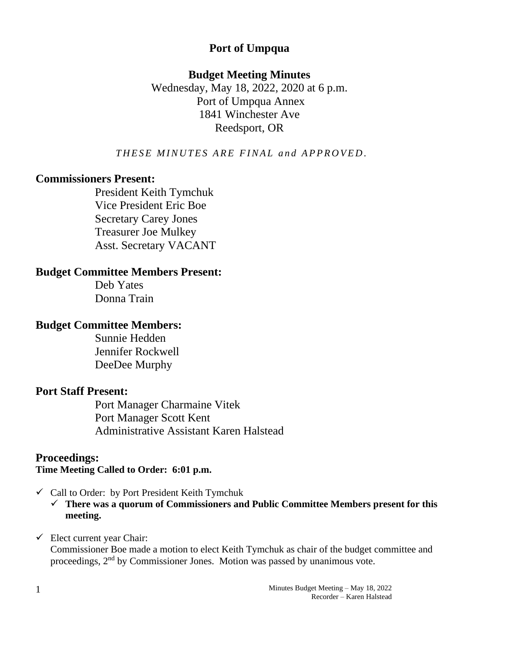## **Port of Umpqua**

## **Budget Meeting Minutes**

Wednesday, May 18, 2022, 2020 at 6 p.m. Port of Umpqua Annex 1841 Winchester Ave Reedsport, OR

**THESE MINUTES ARE FINAL and APPROVED.** 

## **Commissioners Present:**

President Keith Tymchuk Vice President Eric Boe Secretary Carey Jones Treasurer Joe Mulkey Asst. Secretary VACANT

## **Budget Committee Members Present:**

Deb Yates Donna Train

## **Budget Committee Members:**

Sunnie Hedden Jennifer Rockwell DeeDee Murphy

## **Port Staff Present:**

Port Manager Charmaine Vitek Port Manager Scott Kent Administrative Assistant Karen Halstead

# **Proceedings:**

## **Time Meeting Called to Order: 6:01 p.m.**

- $\checkmark$  Call to Order: by Port President Keith Tymchuk
	- ✓ **There was a quorum of Commissioners and Public Committee Members present for this meeting.**

## $\checkmark$  Elect current year Chair:

Commissioner Boe made a motion to elect Keith Tymchuk as chair of the budget committee and proceedings, 2nd by Commissioner Jones. Motion was passed by unanimous vote.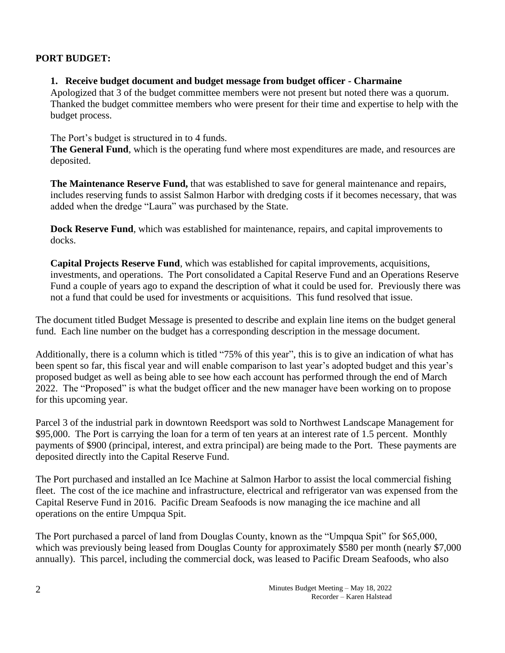#### **PORT BUDGET:**

#### **1. Receive budget document and budget message from budget officer - Charmaine**

Apologized that 3 of the budget committee members were not present but noted there was a quorum. Thanked the budget committee members who were present for their time and expertise to help with the budget process.

The Port's budget is structured in to 4 funds.

**The General Fund**, which is the operating fund where most expenditures are made, and resources are deposited.

**The Maintenance Reserve Fund,** that was established to save for general maintenance and repairs, includes reserving funds to assist Salmon Harbor with dredging costs if it becomes necessary, that was added when the dredge "Laura" was purchased by the State.

**Dock Reserve Fund**, which was established for maintenance, repairs, and capital improvements to docks.

**Capital Projects Reserve Fund**, which was established for capital improvements, acquisitions, investments, and operations. The Port consolidated a Capital Reserve Fund and an Operations Reserve Fund a couple of years ago to expand the description of what it could be used for. Previously there was not a fund that could be used for investments or acquisitions. This fund resolved that issue.

The document titled Budget Message is presented to describe and explain line items on the budget general fund. Each line number on the budget has a corresponding description in the message document.

Additionally, there is a column which is titled "75% of this year", this is to give an indication of what has been spent so far, this fiscal year and will enable comparison to last year's adopted budget and this year's proposed budget as well as being able to see how each account has performed through the end of March 2022. The "Proposed" is what the budget officer and the new manager have been working on to propose for this upcoming year.

Parcel 3 of the industrial park in downtown Reedsport was sold to Northwest Landscape Management for \$95,000. The Port is carrying the loan for a term of ten years at an interest rate of 1.5 percent. Monthly payments of \$900 (principal, interest, and extra principal) are being made to the Port. These payments are deposited directly into the Capital Reserve Fund.

The Port purchased and installed an Ice Machine at Salmon Harbor to assist the local commercial fishing fleet. The cost of the ice machine and infrastructure, electrical and refrigerator van was expensed from the Capital Reserve Fund in 2016. Pacific Dream Seafoods is now managing the ice machine and all operations on the entire Umpqua Spit.

The Port purchased a parcel of land from Douglas County, known as the "Umpqua Spit" for \$65,000, which was previously being leased from Douglas County for approximately \$580 per month (nearly \$7,000) annually). This parcel, including the commercial dock, was leased to Pacific Dream Seafoods, who also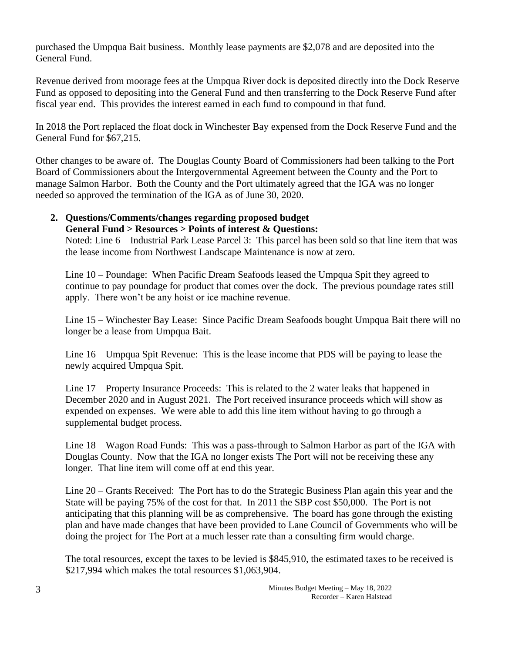purchased the Umpqua Bait business. Monthly lease payments are \$2,078 and are deposited into the General Fund.

Revenue derived from moorage fees at the Umpqua River dock is deposited directly into the Dock Reserve Fund as opposed to depositing into the General Fund and then transferring to the Dock Reserve Fund after fiscal year end. This provides the interest earned in each fund to compound in that fund.

In 2018 the Port replaced the float dock in Winchester Bay expensed from the Dock Reserve Fund and the General Fund for \$67,215.

Other changes to be aware of. The Douglas County Board of Commissioners had been talking to the Port Board of Commissioners about the Intergovernmental Agreement between the County and the Port to manage Salmon Harbor. Both the County and the Port ultimately agreed that the IGA was no longer needed so approved the termination of the IGA as of June 30, 2020.

# **2. Questions/Comments/changes regarding proposed budget**

**General Fund > Resources > Points of interest & Questions:** Noted: Line 6 – Industrial Park Lease Parcel 3: This parcel has been sold so that line item that was the lease income from Northwest Landscape Maintenance is now at zero.

Line 10 – Poundage: When Pacific Dream Seafoods leased the Umpqua Spit they agreed to continue to pay poundage for product that comes over the dock. The previous poundage rates still apply. There won't be any hoist or ice machine revenue.

Line 15 – Winchester Bay Lease: Since Pacific Dream Seafoods bought Umpqua Bait there will no longer be a lease from Umpqua Bait.

Line 16 – Umpqua Spit Revenue: This is the lease income that PDS will be paying to lease the newly acquired Umpqua Spit.

Line 17 – Property Insurance Proceeds: This is related to the 2 water leaks that happened in December 2020 and in August 2021. The Port received insurance proceeds which will show as expended on expenses. We were able to add this line item without having to go through a supplemental budget process.

Line 18 – Wagon Road Funds: This was a pass-through to Salmon Harbor as part of the IGA with Douglas County. Now that the IGA no longer exists The Port will not be receiving these any longer. That line item will come off at end this year.

Line 20 – Grants Received: The Port has to do the Strategic Business Plan again this year and the State will be paying 75% of the cost for that. In 2011 the SBP cost \$50,000. The Port is not anticipating that this planning will be as comprehensive. The board has gone through the existing plan and have made changes that have been provided to Lane Council of Governments who will be doing the project for The Port at a much lesser rate than a consulting firm would charge.

The total resources, except the taxes to be levied is \$845,910, the estimated taxes to be received is \$217,994 which makes the total resources \$1,063,904.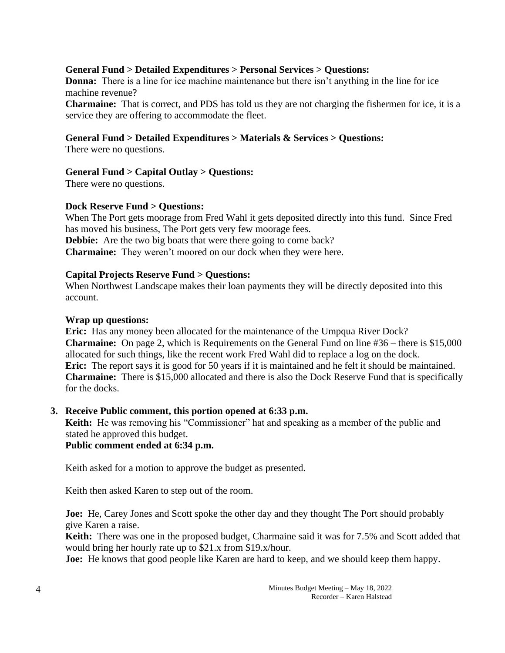#### **General Fund > Detailed Expenditures > Personal Services > Questions:**

**Donna:** There is a line for ice machine maintenance but there isn't anything in the line for ice machine revenue?

**Charmaine:** That is correct, and PDS has told us they are not charging the fishermen for ice, it is a service they are offering to accommodate the fleet.

#### **General Fund > Detailed Expenditures > Materials & Services > Questions:**

There were no questions.

#### **General Fund > Capital Outlay > Questions:**

There were no questions.

#### **Dock Reserve Fund > Questions:**

When The Port gets moorage from Fred Wahl it gets deposited directly into this fund. Since Fred has moved his business, The Port gets very few moorage fees. **Debbie:** Are the two big boats that were there going to come back? **Charmaine:** They weren't moored on our dock when they were here.

#### **Capital Projects Reserve Fund > Questions:**

When Northwest Landscape makes their loan payments they will be directly deposited into this account.

#### **Wrap up questions:**

**Eric:** Has any money been allocated for the maintenance of the Umpqua River Dock? **Charmaine:** On page 2, which is Requirements on the General Fund on line #36 – there is \$15,000 allocated for such things, like the recent work Fred Wahl did to replace a log on the dock. **Eric:** The report says it is good for 50 years if it is maintained and he felt it should be maintained. **Charmaine:** There is \$15,000 allocated and there is also the Dock Reserve Fund that is specifically for the docks.

#### **3. Receive Public comment, this portion opened at 6:33 p.m.**

**Keith:** He was removing his "Commissioner" hat and speaking as a member of the public and stated he approved this budget.

#### **Public comment ended at 6:34 p.m.**

Keith asked for a motion to approve the budget as presented.

Keith then asked Karen to step out of the room.

**Joe:** He, Carey Jones and Scott spoke the other day and they thought The Port should probably give Karen a raise.

**Keith:** There was one in the proposed budget, Charmaine said it was for 7.5% and Scott added that would bring her hourly rate up to \$21.x from \$19.x/hour.

**Joe:** He knows that good people like Karen are hard to keep, and we should keep them happy.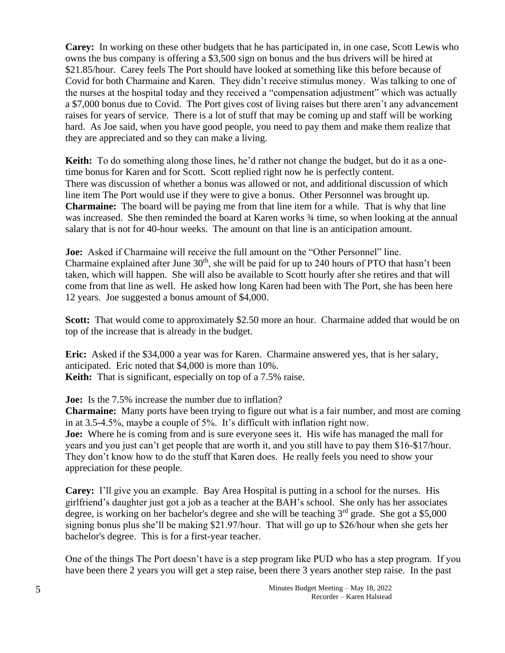**Carey:** In working on these other budgets that he has participated in, in one case, Scott Lewis who owns the bus company is offering a \$3,500 sign on bonus and the bus drivers will be hired at \$21.85/hour. Carey feels The Port should have looked at something like this before because of Covid for both Charmaine and Karen. They didn't receive stimulus money. Was talking to one of the nurses at the hospital today and they received a "compensation adjustment" which was actually a \$7,000 bonus due to Covid. The Port gives cost of living raises but there aren't any advancement raises for years of service. There is a lot of stuff that may be coming up and staff will be working hard. As Joe said, when you have good people, you need to pay them and make them realize that they are appreciated and so they can make a living.

**Keith:** To do something along those lines, he'd rather not change the budget, but do it as a onetime bonus for Karen and for Scott. Scott replied right now he is perfectly content. There was discussion of whether a bonus was allowed or not, and additional discussion of which line item The Port would use if they were to give a bonus. Other Personnel was brought up. **Charmaine:** The board will be paying me from that line item for a while. That is why that line was increased. She then reminded the board at Karen works  $\frac{3}{4}$  time, so when looking at the annual salary that is not for 40-hour weeks. The amount on that line is an anticipation amount.

**Joe:** Asked if Charmaine will receive the full amount on the "Other Personnel" line. Charmaine explained after June  $30<sup>th</sup>$ , she will be paid for up to 240 hours of PTO that hasn't been taken, which will happen. She will also be available to Scott hourly after she retires and that will come from that line as well. He asked how long Karen had been with The Port, she has been here 12 years. Joe suggested a bonus amount of \$4,000.

**Scott:** That would come to approximately \$2.50 more an hour. Charmaine added that would be on top of the increase that is already in the budget.

**Eric:** Asked if the \$34,000 a year was for Karen. Charmaine answered yes, that is her salary, anticipated. Eric noted that \$4,000 is more than 10%. **Keith:** That is significant, especially on top of a 7.5% raise.

**Joe:** Is the 7.5% increase the number due to inflation?

**Charmaine:** Many ports have been trying to figure out what is a fair number, and most are coming in at 3.5-4.5%, maybe a couple of 5%. It's difficult with inflation right now. **Joe:** Where he is coming from and is sure everyone sees it. His wife has managed the mall for years and you just can't get people that are worth it, and you still have to pay them \$16-\$17/hour. They don't know how to do the stuff that Karen does. He really feels you need to show your appreciation for these people.

**Carey:** I'll give you an example. Bay Area Hospital is putting in a school for the nurses. His girlfriend's daughter just got a job as a teacher at the BAH's school. She only has her associates degree, is working on her bachelor's degree and she will be teaching  $3<sup>rd</sup>$  grade. She got a \$5,000 signing bonus plus she'll be making \$21.97/hour. That will go up to \$26/hour when she gets her bachelor's degree. This is for a first-year teacher.

One of the things The Port doesn't have is a step program like PUD who has a step program. If you have been there 2 years you will get a step raise, been there 3 years another step raise. In the past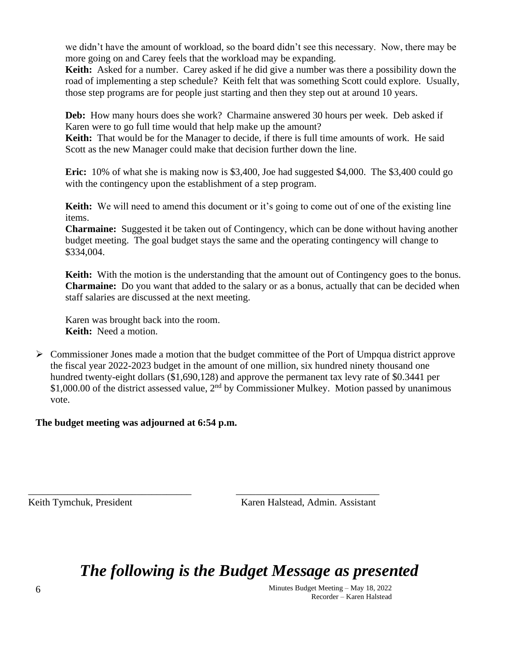we didn't have the amount of workload, so the board didn't see this necessary. Now, there may be more going on and Carey feels that the workload may be expanding.

**Keith:** Asked for a number. Carey asked if he did give a number was there a possibility down the road of implementing a step schedule? Keith felt that was something Scott could explore. Usually, those step programs are for people just starting and then they step out at around 10 years.

**Deb:** How many hours does she work? Charmaine answered 30 hours per week. Deb asked if Karen were to go full time would that help make up the amount?

**Keith:** That would be for the Manager to decide, if there is full time amounts of work. He said Scott as the new Manager could make that decision further down the line.

**Eric:** 10% of what she is making now is \$3,400, Joe had suggested \$4,000. The \$3,400 could go with the contingency upon the establishment of a step program.

**Keith:** We will need to amend this document or it's going to come out of one of the existing line items.

**Charmaine:** Suggested it be taken out of Contingency, which can be done without having another budget meeting. The goal budget stays the same and the operating contingency will change to \$334,004.

**Keith:** With the motion is the understanding that the amount out of Contingency goes to the bonus. **Charmaine:** Do you want that added to the salary or as a bonus, actually that can be decided when staff salaries are discussed at the next meeting.

Karen was brought back into the room. **Keith:** Need a motion.

 $\triangleright$  Commissioner Jones made a motion that the budget committee of the Port of Umpqua district approve the fiscal year 2022-2023 budget in the amount of one million, six hundred ninety thousand one hundred twenty-eight dollars (\$1,690,128) and approve the permanent tax levy rate of \$0.3441 per \$1,000.00 of the district assessed value,  $2<sup>nd</sup>$  by Commissioner Mulkey. Motion passed by unanimous vote.

**The budget meeting was adjourned at 6:54 p.m.**

Keith Tymchuk, President Karen Halstead, Admin. Assistant

*The following is the Budget Message as presented*

\_\_\_\_\_\_\_\_\_\_\_\_\_\_\_\_\_\_\_\_\_\_\_\_\_\_\_\_\_\_\_\_\_ \_\_\_\_\_\_\_\_\_\_\_\_\_\_\_\_\_\_\_\_\_\_\_\_\_\_\_\_\_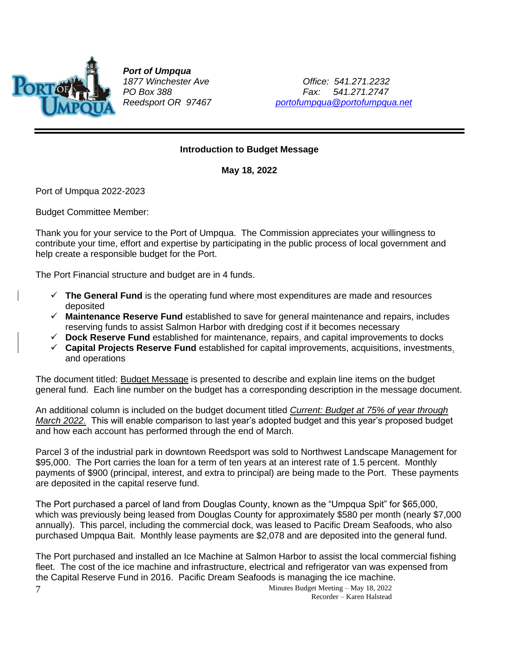

*Port of Umpqua*

*1877 Winchester Ave Office: 541.271.2232 PO Box 388 Fax: 541.271.2747 Reedsport OR 97467 [portofumpqua@portofumpqua.net](mailto:portofumpqua@portofumpqua.net)*

#### **Introduction to Budget Message**

**May 18, 2022**

Port of Umpqua 2022-2023

Budget Committee Member:

Thank you for your service to the Port of Umpqua. The Commission appreciates your willingness to contribute your time, effort and expertise by participating in the public process of local government and help create a responsible budget for the Port.

The Port Financial structure and budget are in 4 funds.

- ✓ **The General Fund** is the operating fund where most expenditures are made and resources deposited
- ✓ **Maintenance Reserve Fund** established to save for general maintenance and repairs, includes reserving funds to assist Salmon Harbor with dredging cost if it becomes necessary
- ✓ **Dock Reserve Fund** established for maintenance, repairs, and capital improvements to docks
- ✓ **Capital Projects Reserve Fund** established for capital improvements, acquisitions, investments, and operations

The document titled: Budget Message is presented to describe and explain line items on the budget general fund. Each line number on the budget has a corresponding description in the message document.

An additional column is included on the budget document titled *Current: Budget at 75% of year through March 2022.* This will enable comparison to last year's adopted budget and this year's proposed budget and how each account has performed through the end of March.

Parcel 3 of the industrial park in downtown Reedsport was sold to Northwest Landscape Management for \$95,000. The Port carries the loan for a term of ten years at an interest rate of 1.5 percent. Monthly payments of \$900 (principal, interest, and extra to principal) are being made to the Port. These payments are deposited in the capital reserve fund.

The Port purchased a parcel of land from Douglas County, known as the "Umpqua Spit" for \$65,000, which was previously being leased from Douglas County for approximately \$580 per month (nearly \$7,000 annually). This parcel, including the commercial dock, was leased to Pacific Dream Seafoods, who also purchased Umpqua Bait. Monthly lease payments are \$2,078 and are deposited into the general fund.

The Port purchased and installed an Ice Machine at Salmon Harbor to assist the local commercial fishing fleet. The cost of the ice machine and infrastructure, electrical and refrigerator van was expensed from the Capital Reserve Fund in 2016. Pacific Dream Seafoods is managing the ice machine.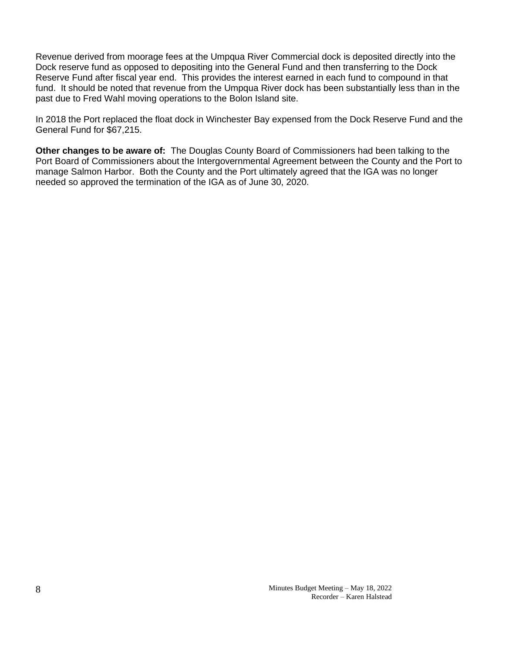Revenue derived from moorage fees at the Umpqua River Commercial dock is deposited directly into the Dock reserve fund as opposed to depositing into the General Fund and then transferring to the Dock Reserve Fund after fiscal year end. This provides the interest earned in each fund to compound in that fund. It should be noted that revenue from the Umpqua River dock has been substantially less than in the past due to Fred Wahl moving operations to the Bolon Island site.

In 2018 the Port replaced the float dock in Winchester Bay expensed from the Dock Reserve Fund and the General Fund for \$67,215.

**Other changes to be aware of:** The Douglas County Board of Commissioners had been talking to the Port Board of Commissioners about the Intergovernmental Agreement between the County and the Port to manage Salmon Harbor. Both the County and the Port ultimately agreed that the IGA was no longer needed so approved the termination of the IGA as of June 30, 2020.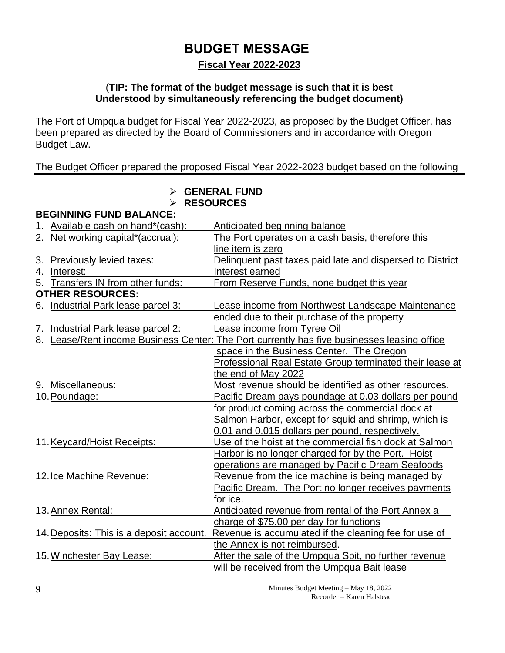# **BUDGET MESSAGE**

## **Fiscal Year 2022-2023**

#### (**TIP: The format of the budget message is such that it is best Understood by simultaneously referencing the budget document)**

The Port of Umpqua budget for Fiscal Year 2022-2023, as proposed by the Budget Officer, has been prepared as directed by the Board of Commissioners and in accordance with Oregon Budget Law.

### The Budget Officer prepared the proposed Fiscal Year 2022-2023 budget based on the following

## ➢ **GENERAL FUND**

#### ➢ **RESOURCES**

**BEGINNING FUND BALANCE:**

|    | 1. Available cash on hand*(cash):        | Anticipated beginning balance                                                               |
|----|------------------------------------------|---------------------------------------------------------------------------------------------|
|    | 2. Net working capital*(accrual):        | The Port operates on a cash basis, therefore this                                           |
|    |                                          | line item is zero                                                                           |
|    | 3. Previously levied taxes:              | Delinquent past taxes paid late and dispersed to District                                   |
| 4. | Interest:                                | Interest earned                                                                             |
|    | 5. Transfers IN from other funds:        | From Reserve Funds, none budget this year                                                   |
|    | <b>OTHER RESOURCES:</b>                  |                                                                                             |
|    | 6. Industrial Park lease parcel 3:       | Lease income from Northwest Landscape Maintenance                                           |
|    |                                          | ended due to their purchase of the property                                                 |
|    | 7. Industrial Park lease parcel 2:       | Lease income from Tyree Oil                                                                 |
|    |                                          | 8. Lease/Rent income Business Center: The Port currently has five businesses leasing office |
|    |                                          | space in the Business Center. The Oregon                                                    |
|    |                                          | <b>Professional Real Estate Group terminated their lease at</b>                             |
|    |                                          | the end of May 2022                                                                         |
|    | 9. Miscellaneous:                        | Most revenue should be identified as other resources.                                       |
|    | 10. Poundage:                            | Pacific Dream pays poundage at 0.03 dollars per pound                                       |
|    |                                          | for product coming across the commercial dock at                                            |
|    |                                          | Salmon Harbor, except for squid and shrimp, which is                                        |
|    |                                          | 0.01 and 0.015 dollars per pound, respectively.                                             |
|    | 11. Keycard/Hoist Receipts:              | Use of the hoist at the commercial fish dock at Salmon                                      |
|    |                                          | Harbor is no longer charged for by the Port. Hoist                                          |
|    |                                          | operations are managed by Pacific Dream Seafoods                                            |
|    | 12. Ice Machine Revenue:                 | Revenue from the ice machine is being managed by                                            |
|    |                                          | <b>Pacific Dream.</b> The Port no longer receives payments                                  |
|    |                                          | for ice.                                                                                    |
|    | 13. Annex Rental:                        | Anticipated revenue from rental of the Port Annex a                                         |
|    |                                          | charge of \$75.00 per day for functions                                                     |
|    | 14. Deposits: This is a deposit account. | Revenue is accumulated if the cleaning fee for use of                                       |
|    |                                          | the Annex is not reimbursed.                                                                |
|    | 15. Winchester Bay Lease:                | After the sale of the Umpqua Spit, no further revenue                                       |
|    |                                          | will be received from the Umpqua Bait lease                                                 |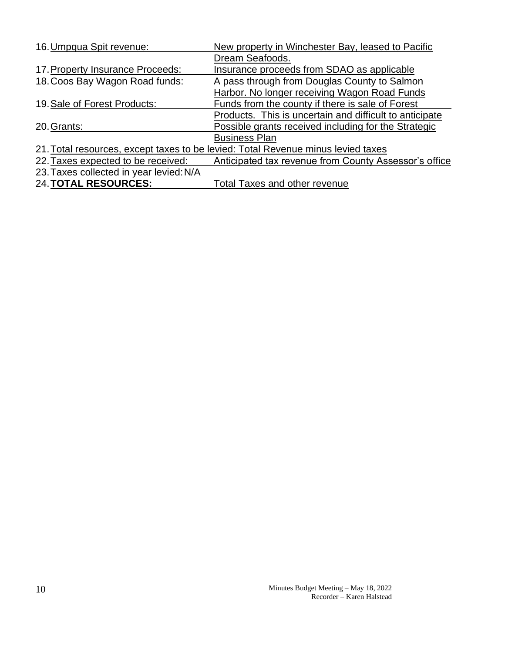| 16. Umpqua Spit revenue:                | New property in Winchester Bay, leased to Pacific                                |
|-----------------------------------------|----------------------------------------------------------------------------------|
|                                         | Dream Seafoods.                                                                  |
| 17. Property Insurance Proceeds:        | Insurance proceeds from SDAO as applicable                                       |
| 18. Coos Bay Wagon Road funds:          | A pass through from Douglas County to Salmon                                     |
|                                         | Harbor. No longer receiving Wagon Road Funds                                     |
| 19. Sale of Forest Products:            | Funds from the county if there is sale of Forest                                 |
|                                         | Products. This is uncertain and difficult to anticipate                          |
| 20. Grants:                             | Possible grants received including for the Strategic                             |
|                                         | <b>Business Plan</b>                                                             |
|                                         | 21. Total resources, except taxes to be levied: Total Revenue minus levied taxes |
| 22. Taxes expected to be received:      | Anticipated tax revenue from County Assessor's office                            |
| 23. Taxes collected in year levied: N/A |                                                                                  |
| <b>24. TOTAL RESOURCES:</b>             | Total Taxes and other revenue                                                    |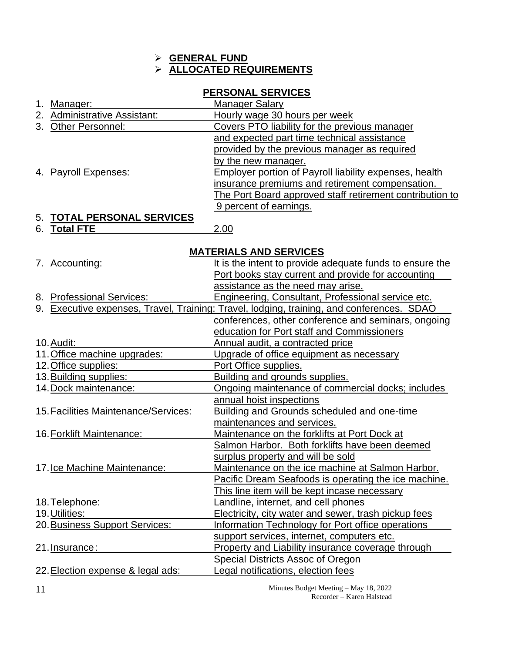#### ➢ **GENERAL FUND** ➢ **ALLOCATED REQUIREMENTS**

## **PERSONAL SERVICES**

| Manager:                     | <b>Manager Salary</b>                                    |
|------------------------------|----------------------------------------------------------|
| 2. Administrative Assistant: | Hourly wage 30 hours per week                            |
| 3. Other Personnel:          | Covers PTO liability for the previous manager            |
|                              | and expected part time technical assistance              |
|                              | provided by the previous manager as required             |
|                              | by the new manager.                                      |
| 4. Payroll Expenses:         | Employer portion of Payroll liability expenses, health   |
|                              | insurance premiums and retirement compensation.          |
|                              | The Port Board approved staff retirement contribution to |
|                              | 9 percent of earnings.                                   |
|                              |                                                          |

## 5. **TOTAL PERSONAL SERVICES**

6. **Total FTE** 2.00

#### **MATERIALS AND SERVICES**

| 7. Accounting:                       | It is the intent to provide adequate funds to ensure the                                  |
|--------------------------------------|-------------------------------------------------------------------------------------------|
|                                      | Port books stay current and provide for accounting                                        |
|                                      | assistance as the need may arise.                                                         |
| 8. Professional Services:            | Engineering, Consultant, Professional service etc.                                        |
|                                      | 9. Executive expenses, Travel, Training: Travel, lodging, training, and conferences. SDAO |
|                                      | conferences, other conference and seminars, ongoing                                       |
|                                      | education for Port staff and Commissioners                                                |
| 10. Audit:                           | Annual audit, a contracted price                                                          |
| 11. Office machine upgrades:         | Upgrade of office equipment as necessary                                                  |
| 12. Office supplies:                 | Port Office supplies.                                                                     |
| 13. Building supplies:               | Building and grounds supplies.                                                            |
| 14. Dock maintenance:                | Ongoing maintenance of commercial docks; includes                                         |
|                                      | annual hoist inspections                                                                  |
| 15. Facilities Maintenance/Services: | Building and Grounds scheduled and one-time                                               |
|                                      | maintenances and services.                                                                |
| 16. Forklift Maintenance:            | Maintenance on the forklifts at Port Dock at                                              |
|                                      | Salmon Harbor. Both forklifts have been deemed                                            |
|                                      | surplus property and will be sold                                                         |
| 17. Ice Machine Maintenance:         | Maintenance on the ice machine at Salmon Harbor.                                          |
|                                      | Pacific Dream Seafoods is operating the ice machine.                                      |
|                                      | This line item will be kept incase necessary                                              |
| 18. Telephone:                       | Landline, internet, and cell phones                                                       |
| 19. Utilities:                       | Electricity, city water and sewer, trash pickup fees                                      |
| 20. Business Support Services:       | Information Technology for Port office operations                                         |
|                                      | support services, internet, computers etc.                                                |
| 21. Insurance:                       | <b>Property and Liability insurance coverage through</b>                                  |
|                                      | <b>Special Districts Assoc of Oregon</b>                                                  |
| 22. Election expense & legal ads:    | Legal notifications, election fees                                                        |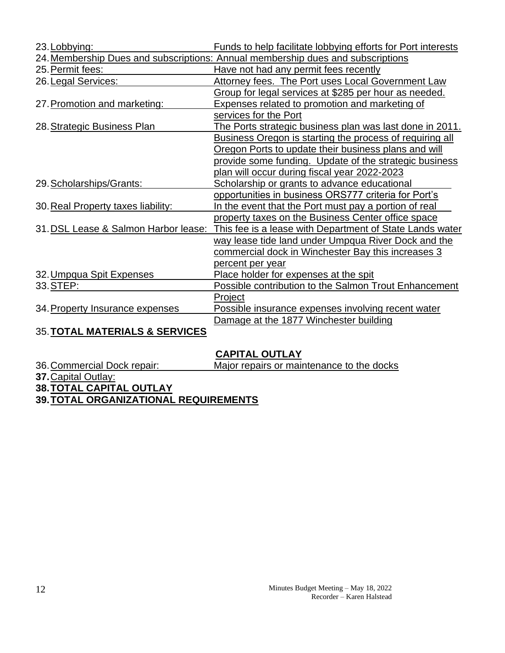| 23. Lobbying:                             | Funds to help facilitate lobbying efforts for Port interests                                  |
|-------------------------------------------|-----------------------------------------------------------------------------------------------|
|                                           | 24. Membership Dues and subscriptions: Annual membership dues and subscriptions               |
| 25. Permit fees:                          | Have not had any permit fees recently                                                         |
| 26. Legal Services:                       | Attorney fees. The Port uses Local Government Law                                             |
|                                           | Group for legal services at \$285 per hour as needed.                                         |
| 27. Promotion and marketing:              | <b>Expenses related to promotion and marketing of</b>                                         |
|                                           | services for the Port                                                                         |
| 28. Strategic Business Plan               | The Ports strategic business plan was last done in 2011.                                      |
|                                           | Business Oregon is starting the process of requiring all                                      |
|                                           | Oregon Ports to update their business plans and will                                          |
|                                           | provide some funding. Update of the strategic business                                        |
|                                           | plan will occur during fiscal year 2022-2023                                                  |
| 29. Scholarships/Grants:                  | Scholarship or grants to advance educational                                                  |
|                                           | opportunities in business ORS777 criteria for Port's                                          |
| 30. Real Property taxes liability:        | In the event that the Port must pay a portion of real                                         |
|                                           | property taxes on the Business Center office space                                            |
|                                           | 31. DSL Lease & Salmon Harbor lease: This fee is a lease with Department of State Lands water |
|                                           | way lease tide land under Umpqua River Dock and the                                           |
|                                           | commercial dock in Winchester Bay this increases 3                                            |
|                                           | percent per year                                                                              |
| 32. Umpqua Spit Expenses                  | Place holder for expenses at the spit                                                         |
| 33. STEP:                                 | Possible contribution to the Salmon Trout Enhancement                                         |
|                                           | Project                                                                                       |
| 34. Property Insurance expenses           | Possible insurance expenses involving recent water                                            |
|                                           | Damage at the 1877 Winchester building                                                        |
| <b>35. TOTAL MATERIALS &amp; SERVICES</b> |                                                                                               |

## **CAPITAL OUTLAY**

| 36. Commercial Dock repair:                  | Major repairs or maintenance to the docks |  |
|----------------------------------------------|-------------------------------------------|--|
| <b>37. Capital Outlay:</b>                   |                                           |  |
| <b>38. TOTAL CAPITAL OUTLAY</b>              |                                           |  |
| <b>39. TOTAL ORGANIZATIONAL REQUIREMENTS</b> |                                           |  |
|                                              |                                           |  |